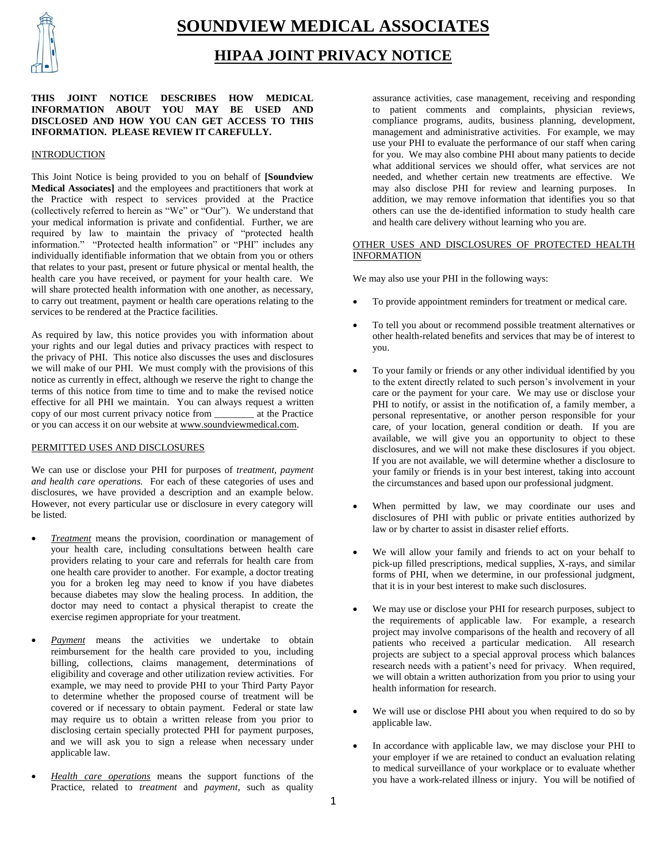

# **SOUNDVIEW MEDICAL ASSOCIATES**

## **HIPAA JOINT PRIVACY NOTICE**

### **THIS JOINT NOTICE DESCRIBES HOW MEDICAL INFORMATION ABOUT YOU MAY BE USED AND DISCLOSED AND HOW YOU CAN GET ACCESS TO THIS INFORMATION. PLEASE REVIEW IT CAREFULLY.**

#### INTRODUCTION

This Joint Notice is being provided to you on behalf of **[Soundview Medical Associates]** and the employees and practitioners that work at the Practice with respect to services provided at the Practice (collectively referred to herein as "We" or "Our"). We understand that your medical information is private and confidential. Further, we are required by law to maintain the privacy of "protected health information." "Protected health information" or "PHI" includes any individually identifiable information that we obtain from you or others that relates to your past, present or future physical or mental health, the health care you have received, or payment for your health care. We will share protected health information with one another, as necessary, to carry out treatment, payment or health care operations relating to the services to be rendered at the Practice facilities.

As required by law, this notice provides you with information about your rights and our legal duties and privacy practices with respect to the privacy of PHI. This notice also discusses the uses and disclosures we will make of our PHI. We must comply with the provisions of this notice as currently in effect, although we reserve the right to change the terms of this notice from time to time and to make the revised notice effective for all PHI we maintain. You can always request a written copy of our most current privacy notice from \_\_\_\_\_\_\_\_ at the Practice or you can access it on our website at www.soundviewmedical.com.

#### PERMITTED USES AND DISCLOSURES

We can use or disclose your PHI for purposes of *treatment, payment and health care operations.* For each of these categories of uses and disclosures, we have provided a description and an example below. However, not every particular use or disclosure in every category will be listed.

- *Treatment* means the provision, coordination or management of your health care, including consultations between health care providers relating to your care and referrals for health care from one health care provider to another. For example, a doctor treating you for a broken leg may need to know if you have diabetes because diabetes may slow the healing process. In addition, the doctor may need to contact a physical therapist to create the exercise regimen appropriate for your treatment.
- *Payment* means the activities we undertake to obtain reimbursement for the health care provided to you, including billing, collections, claims management, determinations of eligibility and coverage and other utilization review activities. For example, we may need to provide PHI to your Third Party Payor to determine whether the proposed course of treatment will be covered or if necessary to obtain payment. Federal or state law may require us to obtain a written release from you prior to disclosing certain specially protected PHI for payment purposes, and we will ask you to sign a release when necessary under applicable law.
- *Health care operations* means the support functions of the Practice, related to *treatment* and *payment*, such as quality

assurance activities, case management, receiving and responding to patient comments and complaints, physician reviews, compliance programs, audits, business planning, development, management and administrative activities. For example, we may use your PHI to evaluate the performance of our staff when caring for you. We may also combine PHI about many patients to decide what additional services we should offer, what services are not needed, and whether certain new treatments are effective. We may also disclose PHI for review and learning purposes. In addition, we may remove information that identifies you so that others can use the de-identified information to study health care and health care delivery without learning who you are.

## OTHER USES AND DISCLOSURES OF PROTECTED HEALTH INFORMATION

We may also use your PHI in the following ways:

- To provide appointment reminders for treatment or medical care.
- To tell you about or recommend possible treatment alternatives or other health-related benefits and services that may be of interest to you.
- To your family or friends or any other individual identified by you to the extent directly related to such person's involvement in your care or the payment for your care. We may use or disclose your PHI to notify, or assist in the notification of, a family member, a personal representative, or another person responsible for your care, of your location, general condition or death. If you are available, we will give you an opportunity to object to these disclosures, and we will not make these disclosures if you object. If you are not available, we will determine whether a disclosure to your family or friends is in your best interest, taking into account the circumstances and based upon our professional judgment.
- When permitted by law, we may coordinate our uses and disclosures of PHI with public or private entities authorized by law or by charter to assist in disaster relief efforts.
- We will allow your family and friends to act on your behalf to pick-up filled prescriptions, medical supplies, X-rays, and similar forms of PHI, when we determine, in our professional judgment, that it is in your best interest to make such disclosures.
- We may use or disclose your PHI for research purposes, subject to the requirements of applicable law. For example, a research project may involve comparisons of the health and recovery of all patients who received a particular medication. All research projects are subject to a special approval process which balances research needs with a patient's need for privacy. When required, we will obtain a written authorization from you prior to using your health information for research.
- We will use or disclose PHI about you when required to do so by applicable law.
- In accordance with applicable law, we may disclose your PHI to your employer if we are retained to conduct an evaluation relating to medical surveillance of your workplace or to evaluate whether you have a work-related illness or injury. You will be notified of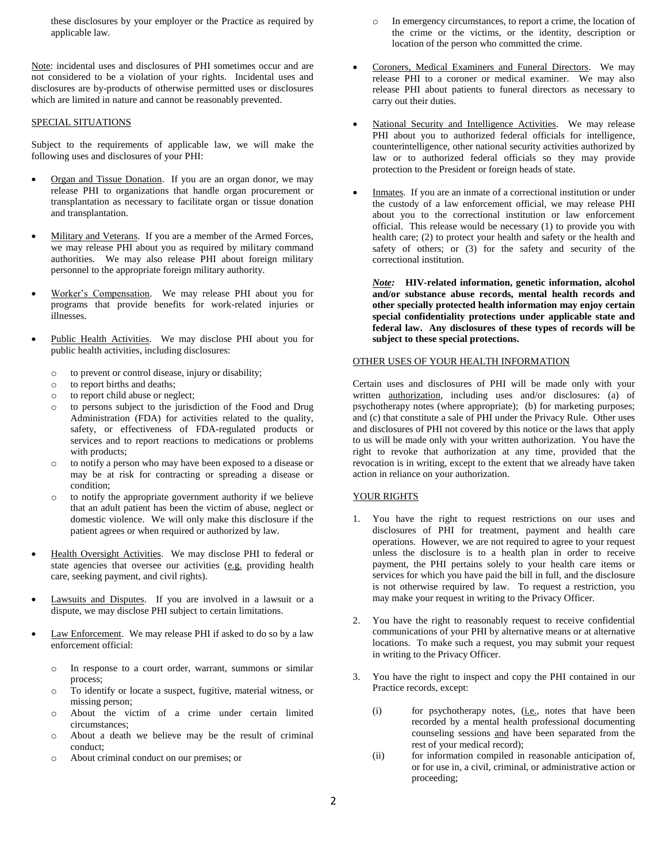these disclosures by your employer or the Practice as required by applicable law.

Note: incidental uses and disclosures of PHI sometimes occur and are not considered to be a violation of your rights. Incidental uses and disclosures are by-products of otherwise permitted uses or disclosures which are limited in nature and cannot be reasonably prevented.

#### SPECIAL SITUATIONS

Subject to the requirements of applicable law, we will make the following uses and disclosures of your PHI:

- Organ and Tissue Donation. If you are an organ donor, we may release PHI to organizations that handle organ procurement or transplantation as necessary to facilitate organ or tissue donation and transplantation.
- Military and Veterans. If you are a member of the Armed Forces, we may release PHI about you as required by military command authorities. We may also release PHI about foreign military personnel to the appropriate foreign military authority.
- Worker's Compensation. We may release PHI about you for programs that provide benefits for work-related injuries or illnesses.
- Public Health Activities. We may disclose PHI about you for public health activities, including disclosures:
	- o to prevent or control disease, injury or disability;
	- o to report births and deaths;
	- o to report child abuse or neglect;
	- o to persons subject to the jurisdiction of the Food and Drug Administration (FDA) for activities related to the quality, safety, or effectiveness of FDA-regulated products or services and to report reactions to medications or problems with products;
	- o to notify a person who may have been exposed to a disease or may be at risk for contracting or spreading a disease or condition;
	- o to notify the appropriate government authority if we believe that an adult patient has been the victim of abuse, neglect or domestic violence. We will only make this disclosure if the patient agrees or when required or authorized by law.
- Health Oversight Activities. We may disclose PHI to federal or state agencies that oversee our activities (e.g. providing health care, seeking payment, and civil rights).
- Lawsuits and Disputes. If you are involved in a lawsuit or a dispute, we may disclose PHI subject to certain limitations.
- Law Enforcement. We may release PHI if asked to do so by a law enforcement official:
	- o In response to a court order, warrant, summons or similar process;
	- o To identify or locate a suspect, fugitive, material witness, or missing person;
	- o About the victim of a crime under certain limited circumstances;
	- o About a death we believe may be the result of criminal conduct;
	- o About criminal conduct on our premises; or
- o In emergency circumstances, to report a crime, the location of the crime or the victims, or the identity, description or location of the person who committed the crime.
- Coroners, Medical Examiners and Funeral Directors. We may release PHI to a coroner or medical examiner. We may also release PHI about patients to funeral directors as necessary to carry out their duties.
- National Security and Intelligence Activities. We may release PHI about you to authorized federal officials for intelligence, counterintelligence, other national security activities authorized by law or to authorized federal officials so they may provide protection to the President or foreign heads of state.
- Inmates. If you are an inmate of a correctional institution or under the custody of a law enforcement official, we may release PHI about you to the correctional institution or law enforcement official. This release would be necessary (1) to provide you with health care; (2) to protect your health and safety or the health and safety of others; or (3) for the safety and security of the correctional institution.

*Note:* **HIV-related information, genetic information, alcohol and/or substance abuse records, mental health records and other specially protected health information may enjoy certain special confidentiality protections under applicable state and federal law. Any disclosures of these types of records will be subject to these special protections.**

#### OTHER USES OF YOUR HEALTH INFORMATION

Certain uses and disclosures of PHI will be made only with your written authorization, including uses and/or disclosures: (a) of psychotherapy notes (where appropriate); (b) for marketing purposes; and (c) that constitute a sale of PHI under the Privacy Rule. Other uses and disclosures of PHI not covered by this notice or the laws that apply to us will be made only with your written authorization. You have the right to revoke that authorization at any time, provided that the revocation is in writing, except to the extent that we already have taken action in reliance on your authorization.

## YOUR RIGHTS

- 1. You have the right to request restrictions on our uses and disclosures of PHI for treatment, payment and health care operations. However, we are not required to agree to your request unless the disclosure is to a health plan in order to receive payment, the PHI pertains solely to your health care items or services for which you have paid the bill in full, and the disclosure is not otherwise required by law. To request a restriction, you may make your request in writing to the Privacy Officer.
- 2. You have the right to reasonably request to receive confidential communications of your PHI by alternative means or at alternative locations. To make such a request, you may submit your request in writing to the Privacy Officer.
- 3. You have the right to inspect and copy the PHI contained in our Practice records, except:
	- (i) for psychotherapy notes, (i.e., notes that have been recorded by a mental health professional documenting counseling sessions and have been separated from the rest of your medical record);
	- (ii) for information compiled in reasonable anticipation of, or for use in, a civil, criminal, or administrative action or proceeding;